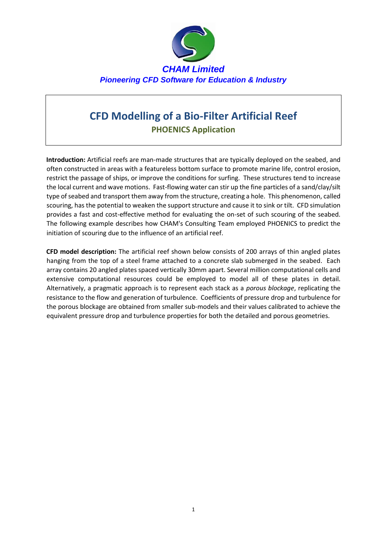

## **CFD Modelling of a Bio-Filter Artificial Reef PHOENICS Application**

**Introduction:** Artificial reefs are man-made structures that are typically deployed on the seabed, and often constructed in areas with a featureless bottom surface to promote [marine life,](http://en.wikipedia.org/wiki/Marine_biology#Reefs) control erosion, restrict the passage of ships, or improve the conditions for surfing. These structures tend to increase the local current and wave motions. Fast-flowing water can stir up the fine particles of a sand/clay/silt type of seabed and transport them away from the structure, creating a hole. This phenomenon, called scouring, has the potential to weaken the support structure and cause it to sink or tilt. CFD simulation provides a fast and cost-effective method for evaluating the on-set of such scouring of the seabed. The following example describes how CHAM's Consulting Team employed PHOENICS to predict the initiation of scouring due to the influence of an artificial reef.

**CFD model description:** The artificial reef shown below consists of 200 arrays of thin angled plates hanging from the top of a steel frame attached to a concrete slab submerged in the seabed. Each array contains 20 angled plates spaced vertically 30mm apart. Several million computational cells and extensive computational resources could be employed to model all of these plates in detail. Alternatively, a pragmatic approach is to represent each stack as a *porous blockage*, replicating the resistance to the flow and generation of turbulence. Coefficients of pressure drop and turbulence for the porous blockage are obtained from smaller sub-models and their values calibrated to achieve the equivalent pressure drop and turbulence properties for both the detailed and porous geometries.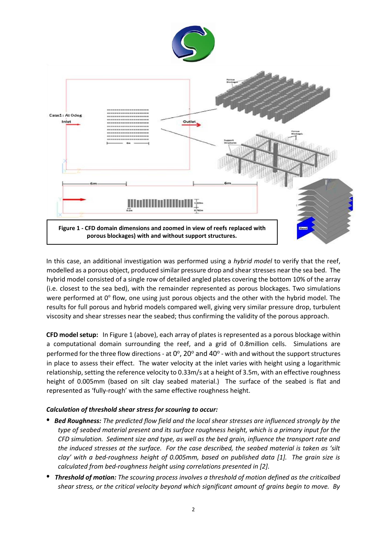

In this case, an additional investigation was performed using a *hybrid model* to verify that the reef, modelled as a porous object, produced similar pressure drop and shear stresses near the sea bed. The hybrid model consisted of a single row of detailed angled plates covering the bottom 10% of the array (i.e. closest to the sea bed), with the remainder represented as porous blockages. Two simulations were performed at 0° flow, one using just porous objects and the other with the hybrid model. The results for full porous and hybrid models compared well, giving very similar pressure drop, turbulent viscosity and shear stresses near the seabed; thus confirming the validity of the porous approach.

**CFD model setup:** In Figure 1 (above), each array of plates is represented as a porous blockage within a computational domain surrounding the reef, and a grid of 0.8million cells. Simulations are performed for the three flow directions - at  $0^{\circ}$ , 20 $^{\circ}$  and 40 $^{\circ}$  - with and without the support structures in place to assess their effect. The water velocity at the inlet varies with height using a logarithmic relationship, setting the reference velocity to 0.33m/s at a height of 3.5m, with an effective roughness height of 0.005mm (based on silt clay seabed material.) The surface of the seabed is flat and represented as 'fully-rough' with the same effective roughness height.

## *Calculation of threshold shear stress for scouring to occur:*

- *Bed Roughness: The predicted flow field and the local shear stresses are influenced strongly by the type of seabed material present and its surface roughness height, which is a primary input for the CFD simulation. Sediment size and type, as well as the bed grain, influence the transport rate and the induced stresses at the surface. For the case described, the seabed material is taken as 'silt clay' with a bed-roughness height of 0.005mm, based on published data [1]. The grain size is calculated from bed-roughness height using correlations presented in [2].*
- *Threshold of motion: The scouring process involves a threshold of motion defined as the criticalbed shear stress, or the critical velocity beyond which significant amount of grains begin to move. By*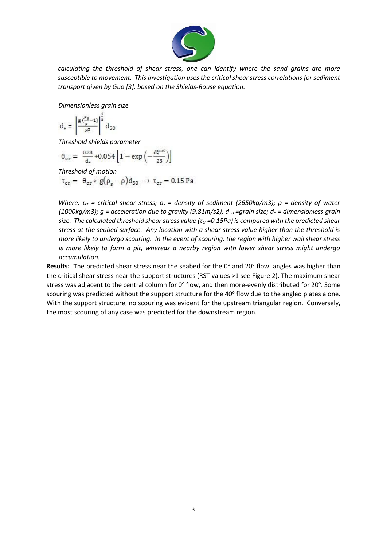

*calculating the threshold of shear stress, one can identify where the sand grains are more susceptible to movement. This investigation uses the critical shear stress correlations for sediment transport given by Guo [3], based on the Shields-Rouse equation.* 

*Dimensionless grain size* 

$$
d_*=\left[\frac{g\left(\frac{\rho_S}{\rho}-1\right)}{g^2}\right]^{\frac{2}{B}}d_{50}
$$

*Threshold shields parameter* 

$$
\theta_{cr} = \left. \frac{0.23}{d_{\star}}\right. + 0.054 \left[1 - \exp\left(-\frac{d_{\star}^{0.85}}{23}\right)\right]
$$

*Threshold of motion*<br>  $\tau_{cr} = \theta_{cr} * g(\rho_s - \rho) d_{50} \rightarrow \tau_{cr} = 0.15 \text{ Pa}$ 

*Where, τ<sub>cr</sub>* = critical shear stress;  $ρ<sub>s</sub>$  = density of sediment (2650kg/m3);  $ρ$  = density of water *(1000kg/m3); g = acceleration due to gravity (9.81m/s2); d<sup>50</sup> =grain size; d\* = dimensionless grain size. The calculated threshold shear stress value (τcr =0.15Pa) is compared with the predicted shear stress at the seabed surface. Any location with a shear stress value higher than the threshold is more likely to undergo scouring. In the event of scouring, the region with higher wall shear stress is more likely to form a pit, whereas a nearby region with lower shear stress might undergo accumulation.* 

Results: The predicted shear stress near the seabed for the 0° and 20° flow angles was higher than the critical shear stress near the support structures (RST values >1 see Figure 2). The maximum shear stress was adjacent to the central column for 0 $^{\circ}$  flow, and then more-evenly distributed for 20 $^{\circ}$ . Some scouring was predicted without the support structure for the 40 $^{\circ}$  flow due to the angled plates alone. With the support structure, no scouring was evident for the upstream triangular region. Conversely, the most scouring of any case was predicted for the downstream region.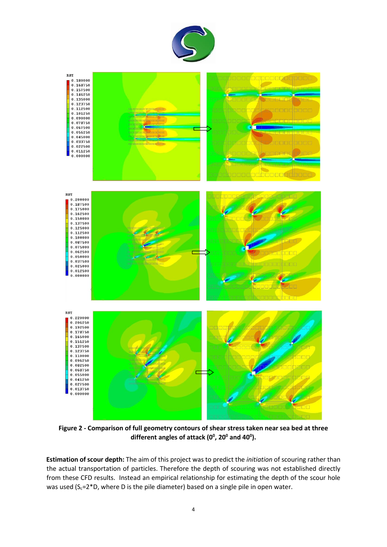



**Figure 2 - Comparison of full geometry contours of shear stress taken near sea bed at three different angles of attack (0<sup>0</sup> , 20<sup>0</sup> and 40<sup>0</sup> ).**

**Estimation of scour depth:** The aim of this project was to predict the *initiation* of scouring rather than the actual transportation of particles. Therefore the depth of scouring was not established directly from these CFD results. Instead an empirical relationship for estimating the depth of the scour hole was used ( $S_c$ =2\*D, where D is the pile diameter) based on a single pile in open water.